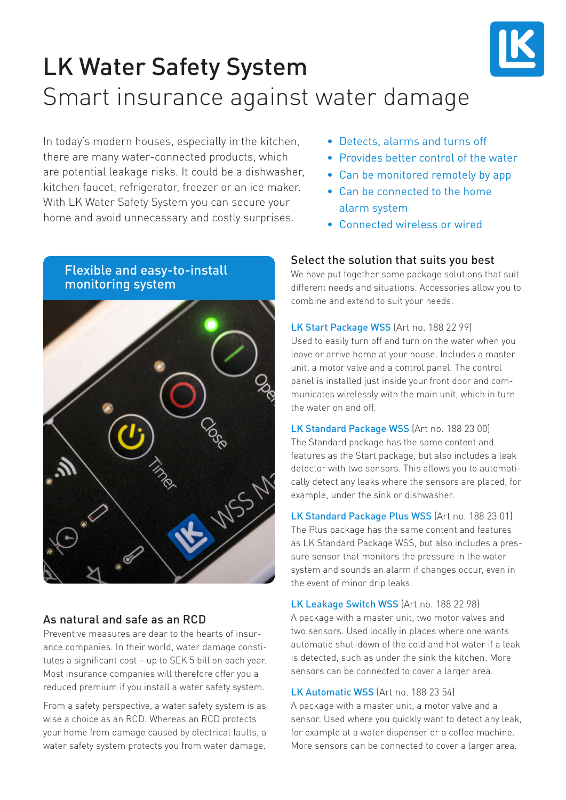

# LK Water Safety System Smart insurance against water damage

In today's modern houses, especially in the kitchen, there are many water-connected products, which are potential leakage risks. It could be a dishwasher, kitchen faucet, refrigerator, freezer or an ice maker. With LK Water Safety System you can secure your home and avoid unnecessary and costly surprises.

# Flexible and easy-to-install monitoring system

#### As natural and safe as an RCD

Preventive measures are dear to the hearts of insurance companies. In their world, water damage constitutes a significant cost – up to SEK 5 billion each year. Most insurance companies will therefore offer you a reduced premium if you install a water safety system.

From a safety perspective, a water safety system is as wise a choice as an RCD. Whereas an RCD protects your home from damage caused by electrical faults, a water safety system protects you from water damage.

- Detects, alarms and turns off
- Provides better control of the water
- Can be monitored remotely by app
- Can be connected to the home alarm system
- Connected wireless or wired

#### Select the solution that suits you best

We have put together some package solutions that suit different needs and situations. Accessories allow you to combine and extend to suit your needs.

LK Start Package WSS (Art no. 188 22 99) Used to easily turn off and turn on the water when you leave or arrive home at your house. Includes a master unit, a motor valve and a control panel. The control panel is installed just inside your front door and communicates wirelessly with the main unit, which in turn the water on and off.

LK Standard Package WSS (Art no. 188 23 00) The Standard package has the same content and features as the Start package, but also includes a leak detector with two sensors. This allows you to automatically detect any leaks where the sensors are placed, for example, under the sink or dishwasher.

LK Standard Package Plus WSS (Art no. 188 23 01) The Plus package has the same content and features as LK Standard Package WSS, but also includes a pressure sensor that monitors the pressure in the water system and sounds an alarm if changes occur, even in the event of minor drip leaks.

LK Leakage Switch WSS (Art no. 188 22 98) A package with a master unit, two motor valves and two sensors. Used locally in places where one wants automatic shut-down of the cold and hot water if a leak is detected, such as under the sink the kitchen. More sensors can be connected to cover a larger area.

LK Automatic WSS (Art no. 188 23 54)

A package with a master unit, a motor valve and a sensor. Used where you quickly want to detect any leak, for example at a water dispenser or a coffee machine. More sensors can be connected to cover a larger area.